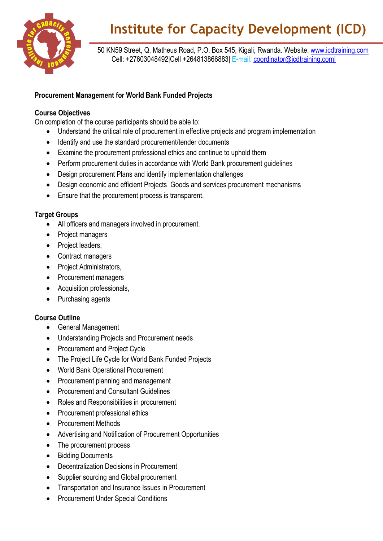

# **Institute for Capacity Development (ICD)**

 50 KN59 Street, Q. Matheus Road, P.O. Box 545, Kigali, Rwanda. Website: [www.icdtraining.com](http://www.icdtraining.com/) Cell: +27603048492|Cell +264813866883| E-mail: [coordinator@icdtraining.com|](mailto:coordinator@icdtraining.com%7C)

## **Procurement Management for World Bank Funded Projects**

### **Course Objectives**

On completion of the course participants should be able to:

- Understand the critical role of procurement in effective projects and program implementation
- Identify and use the standard procurement/tender documents
- Examine the procurement professional ethics and continue to uphold them
- Perform procurement duties in accordance with World Bank procurement guidelines
- Design procurement Plans and identify implementation challenges
- Design economic and efficient Projects Goods and services procurement mechanisms
- Ensure that the procurement process is transparent.

#### **Target Groups**

- All officers and managers involved in procurement.
- Project managers
- Project leaders,
- Contract managers
- Project Administrators,
- Procurement managers
- Acquisition professionals,
- Purchasing agents

#### **Course Outline**

- General Management
- Understanding Projects and Procurement needs
- Procurement and Project Cycle
- The Project Life Cycle for World Bank Funded Projects
- World Bank Operational Procurement
- Procurement planning and management
- Procurement and Consultant Guidelines
- Roles and Responsibilities in procurement
- Procurement professional ethics
- Procurement Methods
- Advertising and Notification of Procurement Opportunities
- The procurement process
- Bidding Documents
- Decentralization Decisions in Procurement
- Supplier sourcing and Global procurement
- Transportation and Insurance Issues in Procurement
- Procurement Under Special Conditions